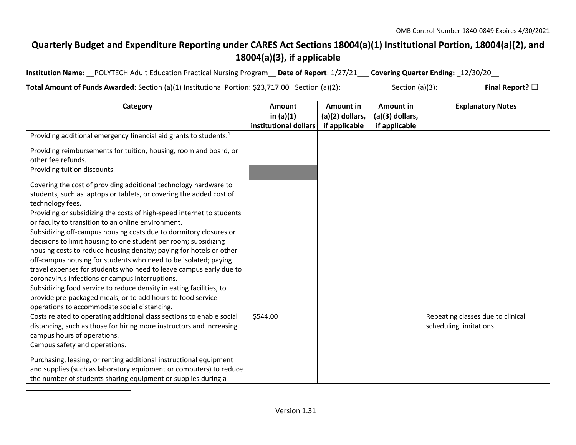## **Quarterly Budget and Expenditure Reporting under CARES Act Sections 18004(a)(1) Institutional Portion, 18004(a)(2), and 18004(a)(3), if applicable**

**Institution Name**: \_\_POLYTECH Adult Education Practical Nursing Program\_\_ **Date of Report**: 1/27/21\_\_\_ **Covering Quarter Ending:** \_12/30/20\_\_

**Total Amount of Funds Awarded:** Section (a)(1) Institutional Portion: \$23,717.00\_ Section (a)(2): \_\_\_\_\_\_\_\_\_\_\_\_ Section (a)(3): \_\_\_\_\_\_\_\_\_\_\_ **Final Report?** ☐

| Category                                                                                                                                                                                                                                                                                                                                                                                                | Amount<br>in $(a)(1)$<br>institutional dollars | Amount in<br>$(a)(2)$ dollars,<br>if applicable | Amount in<br>(a)(3) dollars,<br>if applicable | <b>Explanatory Notes</b>                                     |
|---------------------------------------------------------------------------------------------------------------------------------------------------------------------------------------------------------------------------------------------------------------------------------------------------------------------------------------------------------------------------------------------------------|------------------------------------------------|-------------------------------------------------|-----------------------------------------------|--------------------------------------------------------------|
| Providing additional emergency financial aid grants to students. <sup>1</sup>                                                                                                                                                                                                                                                                                                                           |                                                |                                                 |                                               |                                                              |
| Providing reimbursements for tuition, housing, room and board, or<br>other fee refunds.                                                                                                                                                                                                                                                                                                                 |                                                |                                                 |                                               |                                                              |
| Providing tuition discounts.                                                                                                                                                                                                                                                                                                                                                                            |                                                |                                                 |                                               |                                                              |
| Covering the cost of providing additional technology hardware to<br>students, such as laptops or tablets, or covering the added cost of<br>technology fees.                                                                                                                                                                                                                                             |                                                |                                                 |                                               |                                                              |
| Providing or subsidizing the costs of high-speed internet to students<br>or faculty to transition to an online environment.                                                                                                                                                                                                                                                                             |                                                |                                                 |                                               |                                                              |
| Subsidizing off-campus housing costs due to dormitory closures or<br>decisions to limit housing to one student per room; subsidizing<br>housing costs to reduce housing density; paying for hotels or other<br>off-campus housing for students who need to be isolated; paying<br>travel expenses for students who need to leave campus early due to<br>coronavirus infections or campus interruptions. |                                                |                                                 |                                               |                                                              |
| Subsidizing food service to reduce density in eating facilities, to<br>provide pre-packaged meals, or to add hours to food service<br>operations to accommodate social distancing.                                                                                                                                                                                                                      |                                                |                                                 |                                               |                                                              |
| Costs related to operating additional class sections to enable social<br>distancing, such as those for hiring more instructors and increasing<br>campus hours of operations.                                                                                                                                                                                                                            | \$544.00                                       |                                                 |                                               | Repeating classes due to clinical<br>scheduling limitations. |
| Campus safety and operations.                                                                                                                                                                                                                                                                                                                                                                           |                                                |                                                 |                                               |                                                              |
| Purchasing, leasing, or renting additional instructional equipment<br>and supplies (such as laboratory equipment or computers) to reduce<br>the number of students sharing equipment or supplies during a                                                                                                                                                                                               |                                                |                                                 |                                               |                                                              |

 $\overline{a}$